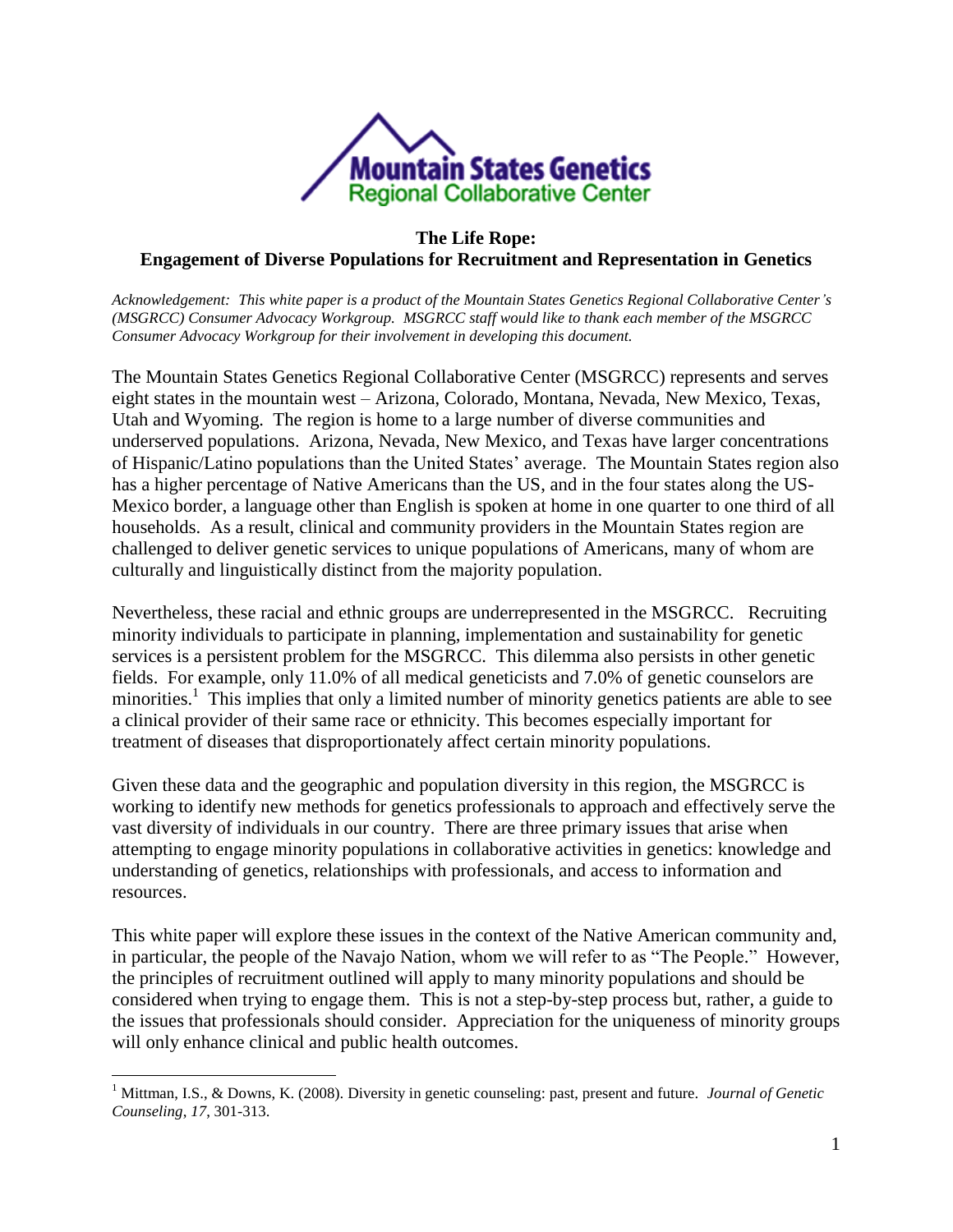

## **The Life Rope: Engagement of Diverse Populations for Recruitment and Representation in Genetics**

*Acknowledgement: This white paper is a product of the Mountain States Genetics Regional Collaborative Center's (MSGRCC) Consumer Advocacy Workgroup. MSGRCC staff would like to thank each member of the MSGRCC Consumer Advocacy Workgroup for their involvement in developing this document.* 

The Mountain States Genetics Regional Collaborative Center (MSGRCC) represents and serves eight states in the mountain west – Arizona, Colorado, Montana, Nevada, New Mexico, Texas, Utah and Wyoming. The region is home to a large number of diverse communities and underserved populations. Arizona, Nevada, New Mexico, and Texas have larger concentrations of Hispanic/Latino populations than the United States' average. The Mountain States region also has a higher percentage of Native Americans than the US, and in the four states along the US-Mexico border, a language other than English is spoken at home in one quarter to one third of all households. As a result, clinical and community providers in the Mountain States region are challenged to deliver genetic services to unique populations of Americans, many of whom are culturally and linguistically distinct from the majority population.

Nevertheless, these racial and ethnic groups are underrepresented in the MSGRCC. Recruiting minority individuals to participate in planning, implementation and sustainability for genetic services is a persistent problem for the MSGRCC. This dilemma also persists in other genetic fields. For example, only 11.0% of all medical geneticists and 7.0% of genetic counselors are minorities.<sup>1</sup> This implies that only a limited number of minority genetics patients are able to see a clinical provider of their same race or ethnicity. This becomes especially important for treatment of diseases that disproportionately affect certain minority populations.

Given these data and the geographic and population diversity in this region, the MSGRCC is working to identify new methods for genetics professionals to approach and effectively serve the vast diversity of individuals in our country. There are three primary issues that arise when attempting to engage minority populations in collaborative activities in genetics: knowledge and understanding of genetics, relationships with professionals, and access to information and resources.

This white paper will explore these issues in the context of the Native American community and, in particular, the people of the Navajo Nation, whom we will refer to as "The People." However, the principles of recruitment outlined will apply to many minority populations and should be considered when trying to engage them. This is not a step-by-step process but, rather, a guide to the issues that professionals should consider. Appreciation for the uniqueness of minority groups will only enhance clinical and public health outcomes.

 $\overline{a}$ 

<sup>1</sup> Mittman, I.S., & Downs, K. (2008). Diversity in genetic counseling: past, present and future. *Journal of Genetic Counseling*, *17*, 301-313.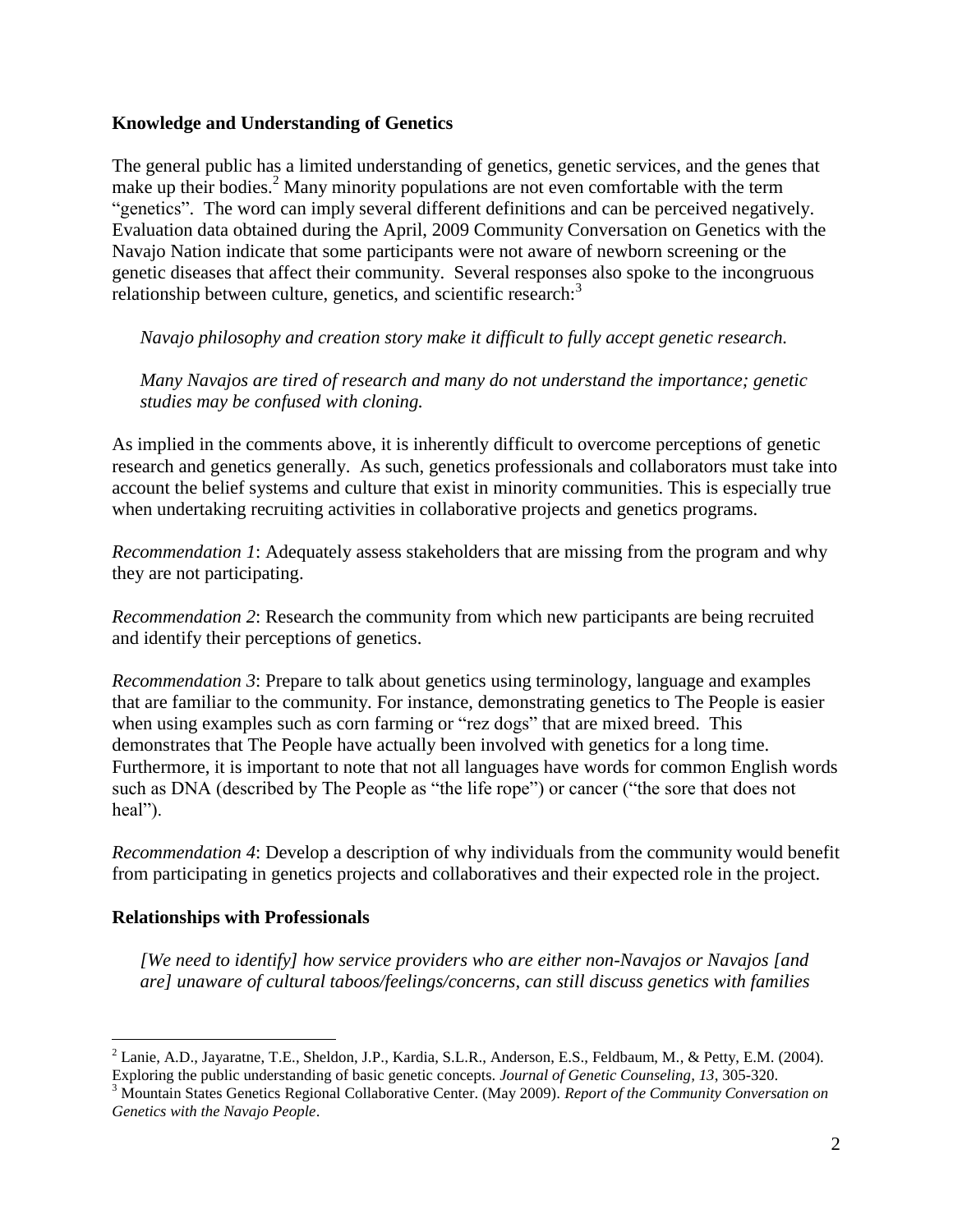## **Knowledge and Understanding of Genetics**

The general public has a limited understanding of genetics, genetic services, and the genes that make up their bodies.<sup>2</sup> Many minority populations are not even comfortable with the term "genetics". The word can imply several different definitions and can be perceived negatively. Evaluation data obtained during the April, 2009 Community Conversation on Genetics with the Navajo Nation indicate that some participants were not aware of newborn screening or the genetic diseases that affect their community. Several responses also spoke to the incongruous relationship between culture, genetics, and scientific research:<sup>3</sup>

*Navajo philosophy and creation story make it difficult to fully accept genetic research.*

*Many Navajos are tired of research and many do not understand the importance; genetic studies may be confused with cloning.*

As implied in the comments above, it is inherently difficult to overcome perceptions of genetic research and genetics generally. As such, genetics professionals and collaborators must take into account the belief systems and culture that exist in minority communities. This is especially true when undertaking recruiting activities in collaborative projects and genetics programs.

*Recommendation 1*: Adequately assess stakeholders that are missing from the program and why they are not participating.

*Recommendation 2*: Research the community from which new participants are being recruited and identify their perceptions of genetics.

*Recommendation 3*: Prepare to talk about genetics using terminology, language and examples that are familiar to the community. For instance, demonstrating genetics to The People is easier when using examples such as corn farming or "rez dogs" that are mixed breed. This demonstrates that The People have actually been involved with genetics for a long time. Furthermore, it is important to note that not all languages have words for common English words such as DNA (described by The People as "the life rope") or cancer ("the sore that does not heal").

*Recommendation 4*: Develop a description of why individuals from the community would benefit from participating in genetics projects and collaboratives and their expected role in the project.

# **Relationships with Professionals**

 $\overline{a}$ 

*[We need to identify] how service providers who are either non-Navajos or Navajos [and are] unaware of cultural taboos/feelings/concerns, can still discuss genetics with families* 

<sup>2</sup> Lanie, A.D., Jayaratne, T.E., Sheldon, J.P., Kardia, S.L.R., Anderson, E.S., Feldbaum, M., & Petty, E.M. (2004). Exploring the public understanding of basic genetic concepts. *Journal of Genetic Counseling, 13*, 305-320.

<sup>3</sup> Mountain States Genetics Regional Collaborative Center. (May 2009). *Report of the Community Conversation on Genetics with the Navajo People*.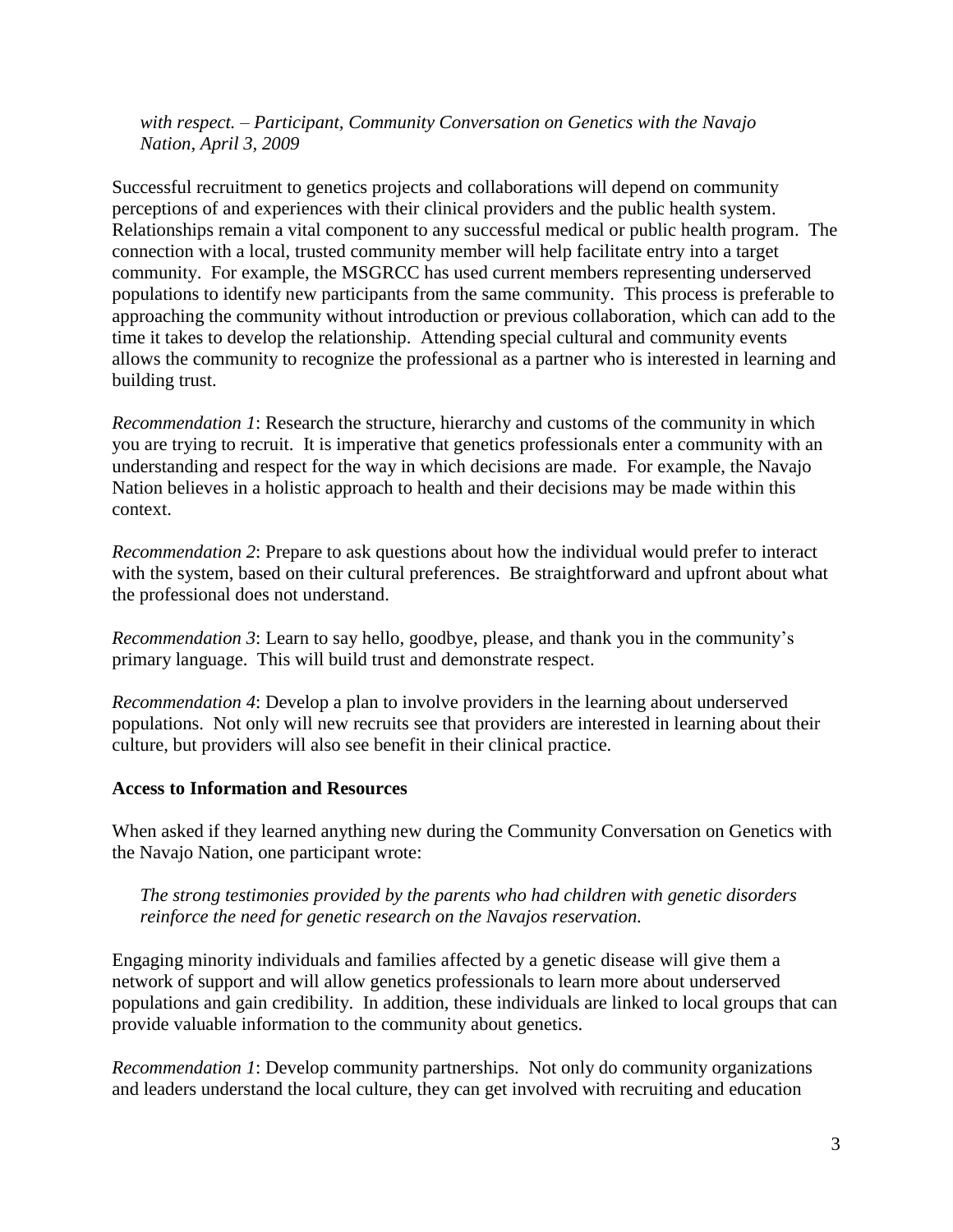*with respect. – Participant, Community Conversation on Genetics with the Navajo Nation, April 3, 2009*

Successful recruitment to genetics projects and collaborations will depend on community perceptions of and experiences with their clinical providers and the public health system. Relationships remain a vital component to any successful medical or public health program. The connection with a local, trusted community member will help facilitate entry into a target community. For example, the MSGRCC has used current members representing underserved populations to identify new participants from the same community. This process is preferable to approaching the community without introduction or previous collaboration, which can add to the time it takes to develop the relationship. Attending special cultural and community events allows the community to recognize the professional as a partner who is interested in learning and building trust.

*Recommendation 1*: Research the structure, hierarchy and customs of the community in which you are trying to recruit. It is imperative that genetics professionals enter a community with an understanding and respect for the way in which decisions are made. For example, the Navajo Nation believes in a holistic approach to health and their decisions may be made within this context.

*Recommendation 2*: Prepare to ask questions about how the individual would prefer to interact with the system, based on their cultural preferences. Be straightforward and upfront about what the professional does not understand.

*Recommendation 3*: Learn to say hello, goodbye, please, and thank you in the community's primary language. This will build trust and demonstrate respect.

*Recommendation 4*: Develop a plan to involve providers in the learning about underserved populations. Not only will new recruits see that providers are interested in learning about their culture, but providers will also see benefit in their clinical practice.

#### **Access to Information and Resources**

When asked if they learned anything new during the Community Conversation on Genetics with the Navajo Nation, one participant wrote:

## *The strong testimonies provided by the parents who had children with genetic disorders reinforce the need for genetic research on the Navajos reservation.*

Engaging minority individuals and families affected by a genetic disease will give them a network of support and will allow genetics professionals to learn more about underserved populations and gain credibility. In addition, these individuals are linked to local groups that can provide valuable information to the community about genetics.

*Recommendation 1*: Develop community partnerships. Not only do community organizations and leaders understand the local culture, they can get involved with recruiting and education